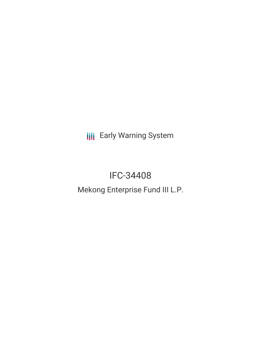**III** Early Warning System

# IFC-34408

## Mekong Enterprise Fund III L.P.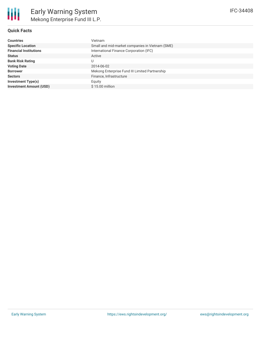

#### **Quick Facts**

| <b>Countries</b>               | Vietnam                                         |
|--------------------------------|-------------------------------------------------|
| <b>Specific Location</b>       | Small and mid-market companies in Vietnam (SME) |
| <b>Financial Institutions</b>  | International Finance Corporation (IFC)         |
| <b>Status</b>                  | Active                                          |
| <b>Bank Risk Rating</b>        |                                                 |
| <b>Voting Date</b>             | 2014-06-02                                      |
| <b>Borrower</b>                | Mekong Enterprise Fund III Limited Partnership  |
| <b>Sectors</b>                 | Finance, Infrastructure                         |
| Investment Type(s)             | Equity                                          |
| <b>Investment Amount (USD)</b> | $$15.00$ million                                |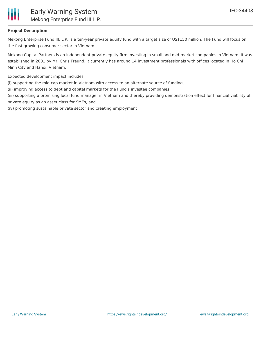

#### **Project Description**

Mekong Enterprise Fund III, L.P. is a ten-year private equity fund with a target size of US\$150 million. The Fund will focus on the fast growing consumer sector in Vietnam.

Mekong Capital Partners is an independent private equity firm investing in small and mid-market companies in Vietnam. It was established in 2001 by Mr. Chris Freund. It currently has around 14 investment professionals with offices located in Ho Chi Minh City and Hanoi, Vietnam.

Expected development impact includes:

(i) supporting the mid-cap market in Vietnam with access to an alternate source of funding,

(ii) improving access to debt and capital markets for the Fund's investee companies,

(iii) supporting a promising local fund manager in Vietnam and thereby providing demonstration effect for financial viability of private equity as an asset class for SMEs, and

(iv) promoting sustainable private sector and creating employment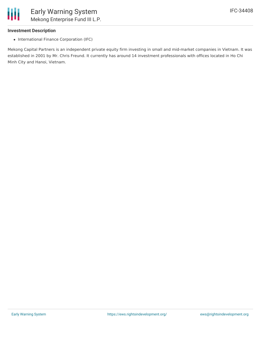

#### **Investment Description**

• International Finance Corporation (IFC)

Mekong Capital Partners is an independent private equity firm investing in small and mid-market companies in Vietnam. It was established in 2001 by Mr. Chris Freund. It currently has around 14 investment professionals with offices located in Ho Chi Minh City and Hanoi, Vietnam.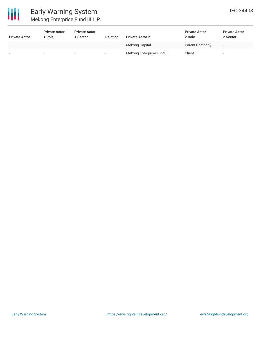

### Early Warning System Mekong Enterprise Fund III L.P.

| <b>Private Actor 1</b> | <b>Private Actor</b><br>l Role | <b>Private Actor</b><br><b>Sector</b> | <b>Relation</b>          | <b>Private Actor 2</b>     | <b>Private Actor</b><br>2 Role | <b>Private Actor</b><br>2 Sector |
|------------------------|--------------------------------|---------------------------------------|--------------------------|----------------------------|--------------------------------|----------------------------------|
|                        | $\overline{\phantom{0}}$       | $\overline{\phantom{0}}$              | $\overline{\phantom{a}}$ | Mekong Capital             | Parent Company                 | $\overline{\phantom{a}}$         |
|                        |                                | $\sim$                                |                          | Mekong Enterprise Fund III | Client                         | . .                              |